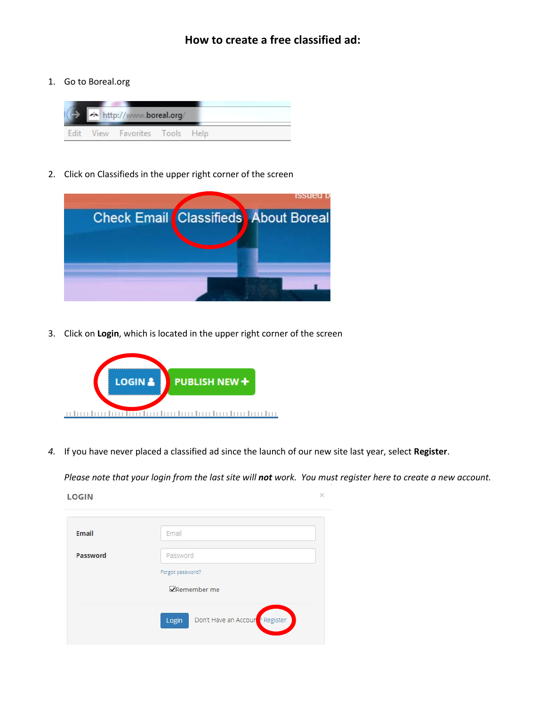1. Go to Boreal.org



2. Click on Classifieds in the upper right corner of the screen



3. Click on **Login**, which is located in the upper right corner of the screen



*4.* If you have never placed a classified ad since the launch of our new site last year, select **Register**.

*Please note that your login from the last site will not work. You must register here to create a new account.*

 $\times$ 

**LOGIN** 

| Email    | Email                                               |
|----------|-----------------------------------------------------|
| Password | Password                                            |
|          | Forgot password?                                    |
|          | <b>V</b> Remember me                                |
|          | Don't Have an Accoun <sup>t</sup> Register<br>Login |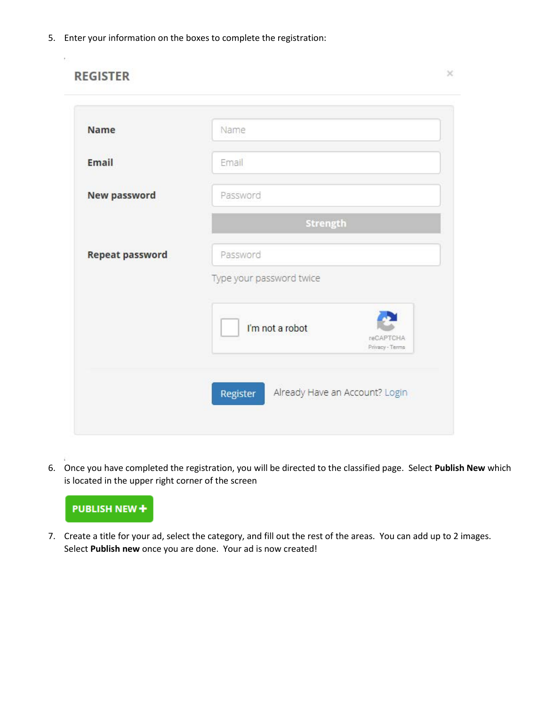5. Enter your information on the boxes to complete the registration:

| <b>Name</b>            | Name                                            |
|------------------------|-------------------------------------------------|
| Email                  | Email                                           |
| New password           | Password                                        |
|                        | Strength                                        |
| <b>Repeat password</b> | Password                                        |
|                        | Type your password twice                        |
|                        | I'm not a robot<br>reCAPTCHA<br>Privacy - Terms |

6. Once you have completed the registration, you will be directed to the classified page. Select **Publish New** which is located in the upper right corner of the screen



7. Create a title for your ad, select the category, and fill out the rest of the areas. You can add up to 2 images. Select **Publish new** once you are done. Your ad is now created!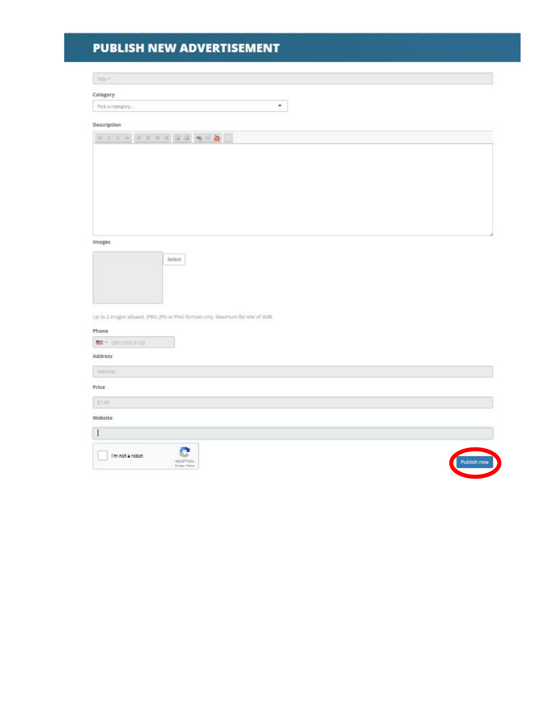## **PUBLISH NEW ADVERTISEMENT**

 $\mathrm{meV}$ 

Category

 $\tau$ Pick a category...

## Description

| 11 / U n = = = 11 日日 m = 2 [1] |  |
|--------------------------------|--|
|                                |  |
|                                |  |
|                                |  |
|                                |  |
|                                |  |
|                                |  |

Images



| Up to 2 images allowed. JPEG, JPG or PNG formats only. Maximum file size of SMB. |             |
|----------------------------------------------------------------------------------|-------------|
| Phone                                                                            |             |
| <b>M</b> 2011 555 0123                                                           |             |
| Address                                                                          |             |
| Atices:                                                                          |             |
| Price                                                                            |             |
| \$1,00                                                                           |             |
| Website                                                                          |             |
| $\overline{\phantom{a}}$                                                         |             |
| e<br>I'm not a robot<br>NOSPTOLE.<br>Strang - Tarris                             | Publish new |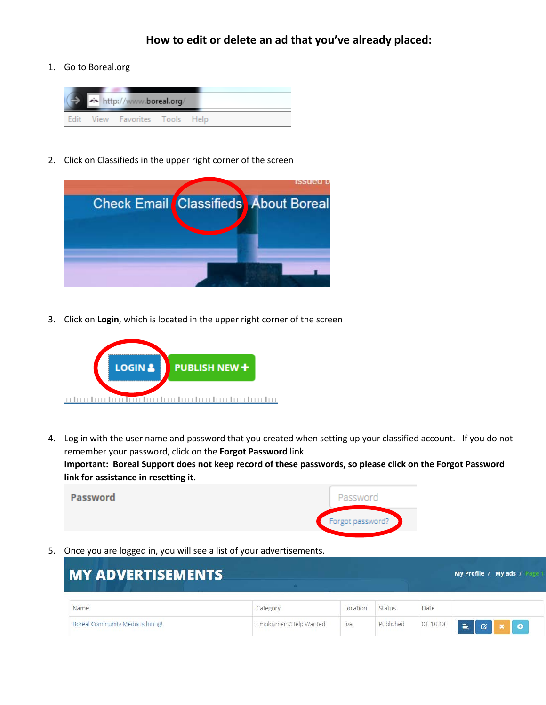## **How to edit or delete an ad that you've already placed:**

1. Go to Boreal.org



2. Click on Classifieds in the upper right corner of the screen



3. Click on **Login**, which is located in the upper right corner of the screen



4. Log in with the user name and password that you created when setting up your classified account. If you do not remember your password, click on the **Forgot Password** link. **Important: Boreal Support does not keep record of these passwords, so please click on the Forgot Password link for assistance in resetting it.**



5. Once you are logged in, you will see a list of your advertisements.